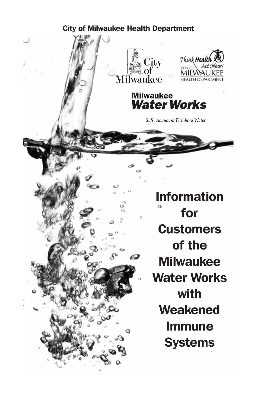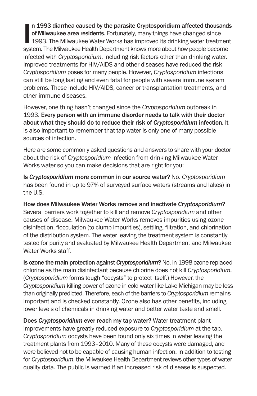n 1993 diarrhea caused by the parasite Cryptosporidium affected thousand<br>of Milwaukee area residents. Fortunately, many things have changed since<br>1993. The Milwaukee Water Works has improved its drinking water treatmer<br>sys n 1993 diarrhea caused by the parasite Cryptosporidium affected thousands of Milwaukee area residents. Fortunately, many things have changed since 1993. The Milwaukee Water Works has improved its drinking water treatment infected with *Cryptosporidium*, including risk factors other than drinking water. Improved treatments for HIV/AIDS and other diseases have reduced the risk *Cryptosporidium* poses for many people. However, *Cryptosporidium* infections can still be long lasting and even fatal for people with severe immune system problems. These include HIV/AIDS, cancer or transplantation treatments, and other immune diseases.

However, one thing hasn't changed since the *Cryptosporidium* outbreak in 1993. Every person with an immune disorder needs to talk with their doctor about what they should do to reduce their risk of *Cryptosporidium* infection. It is also important to remember that tap water is only one of many possible sources of infection.

Here are some commonly asked questions and answers to share with your doctor about the risk of *Cryptosporidium* infection from drinking Milwaukee Water Works water so you can make decisions that are right for you:

Is *Cryptosporidium* more common in our source water? No. *Cryptosporidium* has been found in up to 97% of surveyed surface waters (streams and lakes) in the U.S.

How does Milwaukee Water Works remove and inactivate *Cryptosporidium*? Several barriers work together to kill and remove *Cryptosporidium* and other causes of disease. Milwaukee Water Works removes impurities using ozone disinfection, flocculation (to clump impurities), settling, filtration, and chlorination of the distribution system. The water leaving the treatment system is constantly tested for purity and evaluated by Milwaukee Health Department and Milwaukee Water Works staff.

Is ozone the main protection against *Cryptosporidium*? No. In 1998 ozone replaced chlorine as the main disinfectant because chlorine does not kill *Cryptosporidium*. (*Cryptosporidium* forms tough "oocysts" to protect itself.) However, the *Cryptosporidium* killing power of ozone in cold water like Lake Michigan may be less than originally predicted. Therefore, each of the barriers to *Cryptosporidium* remains important and is checked constantly. Ozone also has other benefits, including lower levels of chemicals in drinking water and better water taste and smell.

Does *Cryptosporidium* ever reach my tap water? Water treatment plant improvements have greatly reduced exposure to *Cryptosporidium* at the tap. *Cryptosporidium* oocysts have been found only six times in water leaving the treatment plants from 1993–2010. Many of these oocysts were damaged, and were believed not to be capable of causing human infection. In addition to testing for *Cryptosporidium*, the Milwaukee Health Department reviews other types of water quality data. The public is warned if an increased risk of disease is suspected.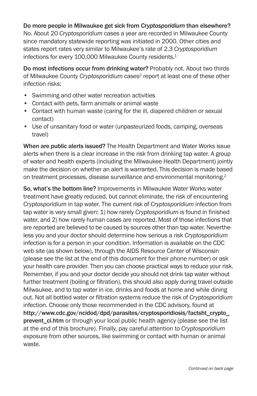### Do more people in Milwaukee get sick from *Cryptosporidium* than elsewhere?

No. About 20 *Cryptosporidium* cases a year are recorded in Milwaukee County since mandatory statewide reporting was initiated in 2000. Other cities and states report rates very similar to Milwaukee's rate of 2.3 *Cryptosporidium* infections for every 100,000 Milwaukee County residents.<sup>1</sup>

Do most infections occur from drinking water? Probably not. About two thirds of Milwaukee County *Cryptosporidium* cases<sup>2</sup> report at least one of these other infection risks:

- Swimming and other water recreation activities
- Contact with pets, farm animals or animal waste
- Contact with human waste (caring for the ill, diapered children or sexual contact)
- Use of unsanitary food or water (unpasteurized foods, camping, overseas travel)

When are public alerts issued? The Health Department and Water Works issue alerts when there is a clear increase in the risk from drinking tap water. A group of water and health experts (including the Milwaukee Health Department) jointly make the decision on whether an alert is warranted. This decision is made based on treatment processes, disease surveillance and environmental monitoring.2

So, what's the bottom line? Improvements in Milwaukee Water Works water treatment have greatly reduced, but cannot eliminate, the risk of encountering *Cryptosporidium* in tap water. The current risk of *Cryptosporidium* infection from tap water is very small given: 1) how rarely *Cryptosporidium* is found in finished water, and 2) how rarely human cases are reported. Most of those infections that are reported are believed to be caused by sources other than tap water. Nevertheless you and your doctor should determine how serious a risk *Cryptosporidium* infection is for a person in your condition. Information is available on the CDC web site (as shown below), through the AIDS Resource Center of Wisconsin (please see the list at the end of this document for their phone number) or ask your health care provider. Then you can choose practical ways to reduce your risk. Remember, if you and your doctor decide you should not drink tap water without further treatment (boiling or filtration), this should also apply during travel outside Milwaukee, and to tap water in ice, drinks and foods at home and while dining out. Not all bottled water or filtration systems reduce the risk of *Cryptosporidium* infection. Choose only those recommended in the CDC advisory, found at http://www.cdc.gov/ncidod/dpd/parasites/cryptosporidiosis/factsht\_crypto\_ prevent\_ci.htm or through your local public health agency (please see the list at the end of this brochure). Finally, pay careful attention to *Cryptosporidium* exposure from other sources, like swimming or contact with human or animal waste.